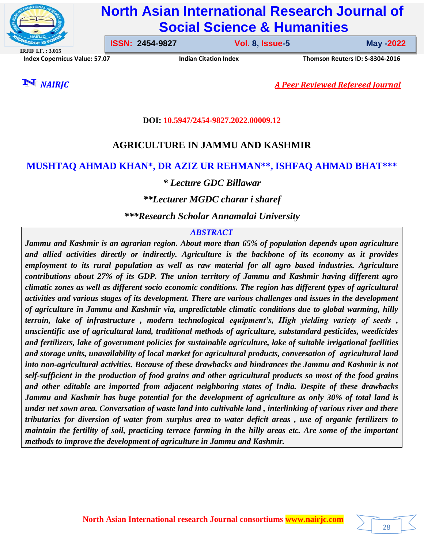

# **North Asian International Research Journal of Social Science & Humanities**

**IRJIF I.F. : 3.015 Index Copernicus Value: 57.07****Indian Citation Index****Thomson Reuters ID: S-8304-2016** 

**ISSN: 2454-9827 Vol. 8, Issue-5** 

**Issue-5 May -2022**

28

*NAIRJC A Peer Reviewed Refereed Journal*

## **DOI: 10.5947/2454-9827.2022.00009.12**

# **AGRICULTURE IN JAMMU AND KASHMIR**

# **MUSHTAQ AHMAD KHAN\*, DR AZIZ UR REHMAN\*\*, ISHFAQ AHMAD BHAT\*\*\***

## *\* Lecture GDC Billawar*

*\*\*Lecturer MGDC charar i sharef*

*\*\*\*Research Scholar Annamalai University*

#### *ABSTRACT*

*Jammu and Kashmir is an agrarian region. About more than 65% of population depends upon agriculture and allied activities directly or indirectly. Agriculture is the backbone of its economy as it provides employment to its rural population as well as raw material for all agro based industries. Agriculture contributions about 27% of its GDP. The union territory of Jammu and Kashmir having different agro climatic zones as well as different socio economic conditions. The region has different types of agricultural activities and various stages of its development. There are various challenges and issues in the development of agriculture in Jammu and Kashmir via, unpredictable climatic conditions due to global warming, hilly terrain, lake of infrastructure , modern technological equipment's, High yielding variety of seeds , unscientific use of agricultural land, traditional methods of agriculture, substandard pesticides, weedicides and fertilizers, lake of government policies for sustainable agriculture, lake of suitable irrigational facilities and storage units, unavailability of local market for agricultural products, conversation of agricultural land into non-agricultural activities. Because of these drawbacks and hindrances the Jammu and Kashmir is not self-sufficient in the production of food grains and other agricultural products so most of the food grains and other editable are imported from adjacent neighboring states of India. Despite of these drawbacks Jammu and Kashmir has huge potential for the development of agriculture as only 30% of total land is under net sown area. Conversation of waste land into cultivable land , interlinking of various river and there tributaries for diversion of water from surplus area to water deficit areas , use of organic fertilizers to maintain the fertility of soil, practicing terrace farming in the hilly areas etc. Are some of the important methods to improve the development of agriculture in Jammu and Kashmir.*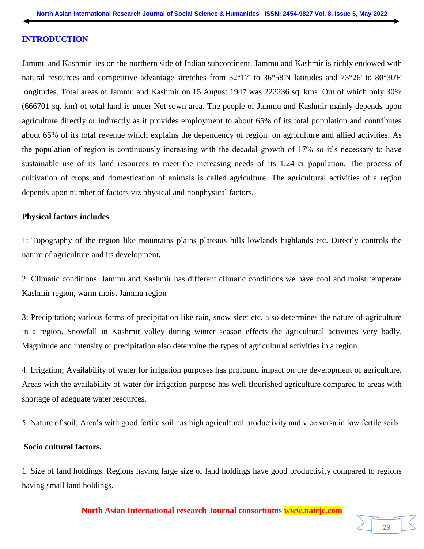#### **INTRODUCTION**

Jammu and Kashmir lies on the northern side of Indian subcontinent. Jammu and Kashmir is richly endowed with natural resources and competitive advantage stretches from 32°17' to 36°58'N latitudes and 73°26' to 80°30'E longitudes. Total areas of Jammu and Kashmir on 15 August 1947 was 222236 sq. kms .Out of which only 30% (666701 sq. km) of total land is under Net sown area. The people of Jammu and Kashmir mainly depends upon agriculture directly or indirectly as it provides employment to about 65% of its total population and contributes about 65% of its total revenue which explains the dependency of region on agriculture and allied activities. As the population of region is continuously increasing with the decadal growth of 17% so it's necessary to have sustainable use of its land resources to meet the increasing needs of its 1.24 cr population. The process of cultivation of crops and domestication of animals is called agriculture. The agricultural activities of a region depends upon number of factors viz physical and nonphysical factors.

#### **Physical factors includes**

1: Topography of the region like mountains plains plateaus hills lowlands highlands etc. Directly controls the nature of agriculture and its development**.**

2: Climatic conditions. Jammu and Kashmir has different climatic conditions we have cool and moist temperate Kashmir region, warm moist Jammu region

3: Precipitation; various forms of precipitation like rain, snow sleet etc. also determines the nature of agriculture in a region. Snowfall in Kashmir valley during winter season effects the agricultural activities very badly. Magnitude and intensity of precipitation also determine the types of agricultural activities in a region.

4. Irrigation; Availability of water for irrigation purposes has profound impact on the development of agriculture. Areas with the availability of water for irrigation purpose has well flourished agriculture compared to areas with shortage of adequate water resources.

5. Nature of soil; Area's with good fertile soil has high agricultural productivity and vice versa in low fertile soils.

#### **Socio cultural factors.**

1. Size of land holdings. Regions having large size of land holdings have good productivity compared to regions having small land holdings.

**North Asian International research Journal consortiums www.nairjc.com**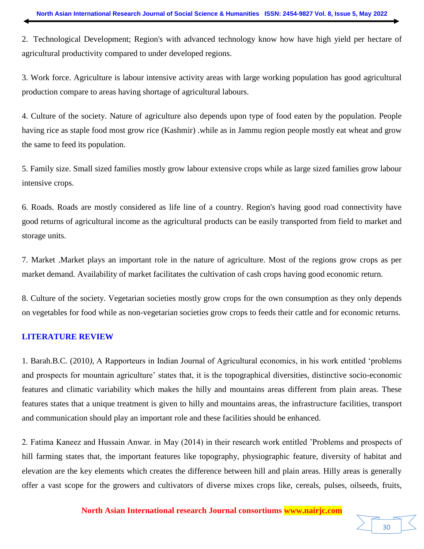2. Technological Development; Region's with advanced technology know how have high yield per hectare of agricultural productivity compared to under developed regions.

3. Work force. Agriculture is labour intensive activity areas with large working population has good agricultural production compare to areas having shortage of agricultural labours.

4. Culture of the society. Nature of agriculture also depends upon type of food eaten by the population. People having rice as staple food most grow rice (Kashmir) .while as in Jammu region people mostly eat wheat and grow the same to feed its population.

5. Family size. Small sized families mostly grow labour extensive crops while as large sized families grow labour intensive crops.

6. Roads. Roads are mostly considered as life line of a country. Region's having good road connectivity have good returns of agricultural income as the agricultural products can be easily transported from field to market and storage units.

7. Market .Market plays an important role in the nature of agriculture. Most of the regions grow crops as per market demand. Availability of market facilitates the cultivation of cash crops having good economic return.

8. Culture of the society. Vegetarian societies mostly grow crops for the own consumption as they only depends on vegetables for food while as non-vegetarian societies grow crops to feeds their cattle and for economic returns.

#### **LITERATURE REVIEW**

1. Barah.B.C. (2010*),* A Rapporteurs in Indian Journal of Agricultural economics, in his work entitled 'problems and prospects for mountain agriculture' states that, it is the topographical diversities, distinctive socio-economic features and climatic variability which makes the hilly and mountains areas different from plain areas. These features states that a unique treatment is given to hilly and mountains areas, the infrastructure facilities, transport and communication should play an important role and these facilities should be enhanced.

2. Fatima Kaneez and Hussain Anwar. in May (2014) in their research work entitled 'Problems and prospects of hill farming states that, the important features like topography, physiographic feature, diversity of habitat and elevation are the key elements which creates the difference between hill and plain areas. Hilly areas is generally offer a vast scope for the growers and cultivators of diverse mixes crops like, cereals, pulses, oilseeds, fruits,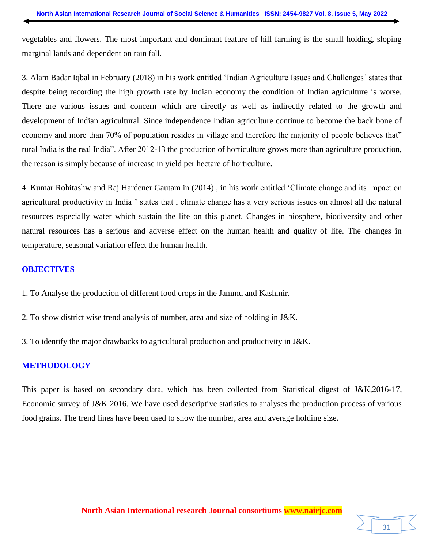vegetables and flowers. The most important and dominant feature of hill farming is the small holding, sloping marginal lands and dependent on rain fall.

3. Alam Badar Iqbal in February (2018) in his work entitled 'Indian Agriculture Issues and Challenges' states that despite being recording the high growth rate by Indian economy the condition of Indian agriculture is worse. There are various issues and concern which are directly as well as indirectly related to the growth and development of Indian agricultural. Since independence Indian agriculture continue to become the back bone of economy and more than 70% of population resides in village and therefore the majority of people believes that" rural India is the real India". After 2012-13 the production of horticulture grows more than agriculture production, the reason is simply because of increase in yield per hectare of horticulture.

4. Kumar Rohitashw and Raj Hardener Gautam in (2014) , in his work entitled 'Climate change and its impact on agricultural productivity in India ' states that , climate change has a very serious issues on almost all the natural resources especially water which sustain the life on this planet. Changes in biosphere, biodiversity and other natural resources has a serious and adverse effect on the human health and quality of life. The changes in temperature, seasonal variation effect the human health.

#### **OBJECTIVES**

- 1. To Analyse the production of different food crops in the Jammu and Kashmir.
- 2. To show district wise trend analysis of number, area and size of holding in J&K.
- 3. To identify the major drawbacks to agricultural production and productivity in J&K.

## **METHODOLOGY**

This paper is based on secondary data, which has been collected from Statistical digest of J&K,2016-17, Economic survey of J&K 2016. We have used descriptive statistics to analyses the production process of various food grains. The trend lines have been used to show the number, area and average holding size.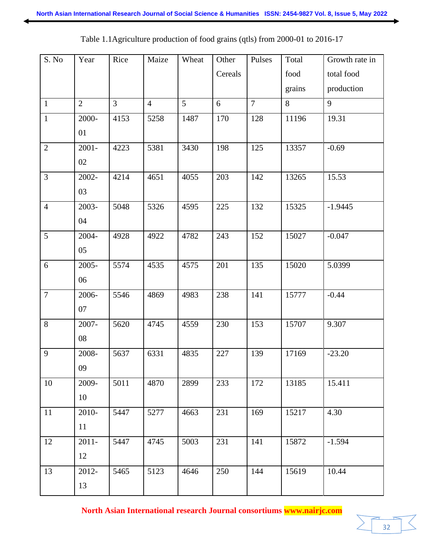| S. No          | Year           | Rice | Maize          | Wheat | Other   | Pulses         | Total  | Growth rate in |
|----------------|----------------|------|----------------|-------|---------|----------------|--------|----------------|
|                |                |      |                |       | Cereals |                | food   | total food     |
|                |                |      |                |       |         |                | grains | production     |
| $\mathbf{1}$   | $\overline{2}$ | 3    | $\overline{4}$ | 5     | 6       | $\overline{7}$ | 8      | 9              |
| $\mathbf{1}$   | 2000-          | 4153 | 5258           | 1487  | 170     | 128            | 11196  | 19.31          |
|                | 01             |      |                |       |         |                |        |                |
| $\mathbf{2}$   | $2001 -$       | 4223 | 5381           | 3430  | 198     | 125            | 13357  | $-0.69$        |
|                | 02             |      |                |       |         |                |        |                |
| 3              | 2002-          | 4214 | 4651           | 4055  | 203     | 142            | 13265  | 15.53          |
|                | 03             |      |                |       |         |                |        |                |
| $\overline{4}$ | 2003-          | 5048 | 5326           | 4595  | 225     | 132            | 15325  | $-1.9445$      |
|                | 04             |      |                |       |         |                |        |                |
| 5              | 2004-          | 4928 | 4922           | 4782  | 243     | 152            | 15027  | $-0.047$       |
|                | 05             |      |                |       |         |                |        |                |
| 6              | 2005-          | 5574 | 4535           | 4575  | 201     | 135            | 15020  | 5.0399         |
|                | 06             |      |                |       |         |                |        |                |
| $\overline{7}$ | 2006-          | 5546 | 4869           | 4983  | 238     | 141            | 15777  | $-0.44$        |
|                | 07             |      |                |       |         |                |        |                |
| 8              | 2007-          | 5620 | 4745           | 4559  | 230     | 153            | 15707  | 9.307          |
|                | 08             |      |                |       |         |                |        |                |
| 9              | 2008-          | 5637 | 6331           | 4835  | 227     | 139            | 17169  | $-23.20$       |
|                | 09             |      |                |       |         |                |        |                |
| 10             | 2009-          | 5011 | 4870           | 2899  | 233     | 172            | 13185  | 15.411         |
|                | 10             |      |                |       |         |                |        |                |
| 11             | 2010-          | 5447 | 5277           | 4663  | 231     | 169            | 15217  | 4.30           |
|                | 11             |      |                |       |         |                |        |                |
| 12             | $2011 -$       | 5447 | 4745           | 5003  | 231     | 141            | 15872  | $-1.594$       |
|                | 12             |      |                |       |         |                |        |                |
| 13             | 2012-          | 5465 | 5123           | 4646  | 250     | 144            | 15619  | 10.44          |
|                | 13             |      |                |       |         |                |        |                |

Table 1.1Agriculture production of food grains (qtls) from 2000-01 to 2016-17

**North Asian International research Journal consortiums www.nairjc.com**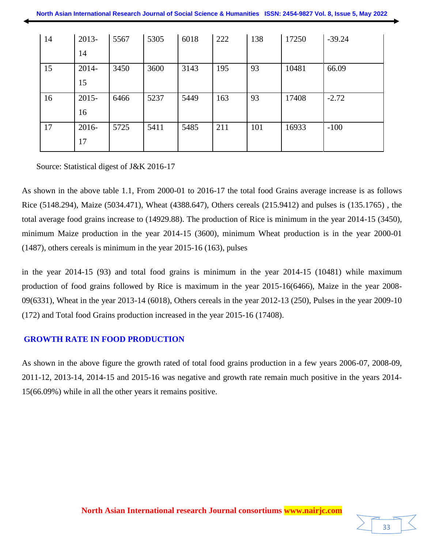| 14 | $2013-$  | 5567 | 5305 | 6018 | 222 | 138 | 17250 | $-39.24$ |
|----|----------|------|------|------|-----|-----|-------|----------|
|    | 14       |      |      |      |     |     |       |          |
| 15 | 2014-    | 3450 | 3600 | 3143 | 195 | 93  | 10481 | 66.09    |
|    | 15       |      |      |      |     |     |       |          |
| 16 | $2015 -$ | 6466 | 5237 | 5449 | 163 | 93  | 17408 | $-2.72$  |
|    | 16       |      |      |      |     |     |       |          |
| 17 | 2016-    | 5725 | 5411 | 5485 | 211 | 101 | 16933 | $-100$   |
|    | 17       |      |      |      |     |     |       |          |

Source: Statistical digest of J&K 2016-17

As shown in the above table 1.1, From 2000-01 to 2016-17 the total food Grains average increase is as follows Rice (5148.294), Maize (5034.471), Wheat (4388.647), Others cereals (215.9412) and pulses is (135.1765) , the total average food grains increase to (14929.88). The production of Rice is minimum in the year 2014-15 (3450), minimum Maize production in the year 2014-15 (3600), minimum Wheat production is in the year 2000-01 (1487), others cereals is minimum in the year 2015-16 (163), pulses

in the year 2014-15 (93) and total food grains is minimum in the year 2014-15 (10481) while maximum production of food grains followed by Rice is maximum in the year 2015-16(6466), Maize in the year 2008- 09(6331), Wheat in the year 2013-14 (6018), Others cereals in the year 2012-13 (250), Pulses in the year 2009-10 (172) and Total food Grains production increased in the year 2015-16 (17408).

## **GROWTH RATE IN FOOD PRODUCTION**

As shown in the above figure the growth rated of total food grains production in a few years 2006-07, 2008-09, 2011-12, 2013-14, 2014-15 and 2015-16 was negative and growth rate remain much positive in the years 2014- 15(66.09%) while in all the other years it remains positive.

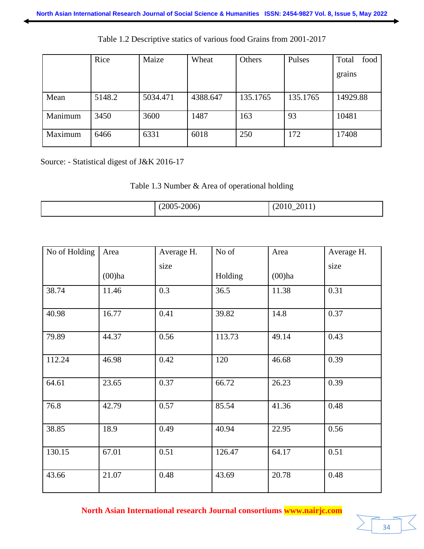|         | Rice   | Maize    | Wheat    | Others   | Pulses   | Total<br>food |
|---------|--------|----------|----------|----------|----------|---------------|
|         |        |          |          |          |          | grains        |
| Mean    | 5148.2 | 5034.471 | 4388.647 | 135.1765 | 135.1765 | 14929.88      |
| Manimum | 3450   | 3600     | 1487     | 163      | 93       | 10481         |
| Maximum | 6466   | 6331     | 6018     | 250      | 172      | 17408         |

Table 1.2 Descriptive statics of various food Grains from 2001-2017

Source: - Statistical digest of J&K 2016-17

|  |  |  | Table 1.3 Number & Area of operational holding |  |
|--|--|--|------------------------------------------------|--|
|  |  |  |                                                |  |

| $\Delta 0.0$<br>(2005)<br>2011<br>$\sim 000$<br>$\mathbf{v}$<br>∪⊥∪∡ |  |
|----------------------------------------------------------------------|--|
|----------------------------------------------------------------------|--|

| No of Holding | Area      | Average H. | No of   | Area      | Average H. |
|---------------|-----------|------------|---------|-----------|------------|
|               | $(00)$ ha | size       | Holding | $(00)$ ha | size       |
| 38.74         | 11.46     | 0.3        | 36.5    | 11.38     | 0.31       |
| 40.98         | 16.77     | 0.41       | 39.82   | 14.8      | 0.37       |
| 79.89         | 44.37     | 0.56       | 113.73  | 49.14     | 0.43       |
| 112.24        | 46.98     | 0.42       | 120     | 46.68     | 0.39       |
| 64.61         | 23.65     | 0.37       | 66.72   | 26.23     | 0.39       |
| 76.8          | 42.79     | 0.57       | 85.54   | 41.36     | 0.48       |
| 38.85         | 18.9      | 0.49       | 40.94   | 22.95     | 0.56       |
| 130.15        | 67.01     | 0.51       | 126.47  | 64.17     | 0.51       |
| 43.66         | 21.07     | 0.48       | 43.69   | 20.78     | 0.48       |

**North Asian International research Journal consortiums www.nairjc.com**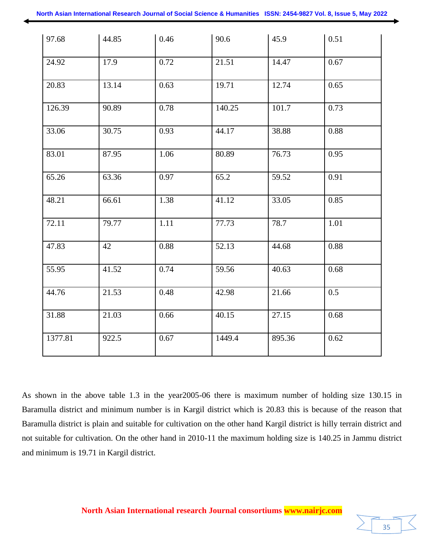| 97.68   | 44.85 | 0.46 | 90.6   | 45.9   | 0.51 |
|---------|-------|------|--------|--------|------|
| 24.92   | 17.9  | 0.72 | 21.51  | 14.47  | 0.67 |
| 20.83   | 13.14 | 0.63 | 19.71  | 12.74  | 0.65 |
| 126.39  | 90.89 | 0.78 | 140.25 | 101.7  | 0.73 |
| 33.06   | 30.75 | 0.93 | 44.17  | 38.88  | 0.88 |
| 83.01   | 87.95 | 1.06 | 80.89  | 76.73  | 0.95 |
| 65.26   | 63.36 | 0.97 | 65.2   | 59.52  | 0.91 |
| 48.21   | 66.61 | 1.38 | 41.12  | 33.05  | 0.85 |
| 72.11   | 79.77 | 1.11 | 77.73  | 78.7   | 1.01 |
| 47.83   | 42    | 0.88 | 52.13  | 44.68  | 0.88 |
| 55.95   | 41.52 | 0.74 | 59.56  | 40.63  | 0.68 |
| 44.76   | 21.53 | 0.48 | 42.98  | 21.66  | 0.5  |
| 31.88   | 21.03 | 0.66 | 40.15  | 27.15  | 0.68 |
| 1377.81 | 922.5 | 0.67 | 1449.4 | 895.36 | 0.62 |

As shown in the above table 1.3 in the year2005-06 there is maximum number of holding size 130.15 in Baramulla district and minimum number is in Kargil district which is 20.83 this is because of the reason that Baramulla district is plain and suitable for cultivation on the other hand Kargil district is hilly terrain district and not suitable for cultivation. On the other hand in 2010-11 the maximum holding size is 140.25 in Jammu district and minimum is 19.71 in Kargil district.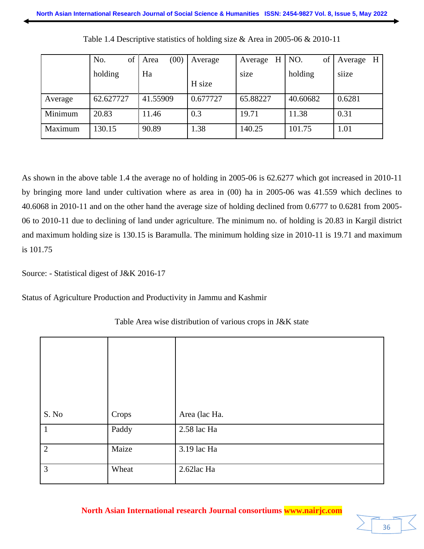|         | No.       | of Area<br>(00) | Average  | Average  | $H \mid NO.$<br>of | Average H |
|---------|-----------|-----------------|----------|----------|--------------------|-----------|
|         | holding   | Ha              |          | size     | holding            | siize     |
|         |           |                 | H size   |          |                    |           |
| Average | 62.627727 | 41.55909        | 0.677727 | 65.88227 | 40.60682           | 0.6281    |
| Minimum | 20.83     | 11.46           | 0.3      | 19.71    | 11.38              | 0.31      |
| Maximum | 130.15    | 90.89           | 1.38     | 140.25   | 101.75             | 1.01      |

Table 1.4 Descriptive statistics of holding size & Area in 2005-06 & 2010-11

As shown in the above table 1.4 the average no of holding in 2005-06 is 62.6277 which got increased in 2010-11 by bringing more land under cultivation where as area in (00) ha in 2005-06 was 41.559 which declines to 40.6068 in 2010-11 and on the other hand the average size of holding declined from 0.6777 to 0.6281 from 2005- 06 to 2010-11 due to declining of land under agriculture. The minimum no. of holding is 20.83 in Kargil district and maximum holding size is 130.15 is Baramulla. The minimum holding size in 2010-11 is 19.71 and maximum is 101.75

Source: - Statistical digest of J&K 2016-17

Status of Agriculture Production and Productivity in Jammu and Kashmir

#### Table Area wise distribution of various crops in J&K state

| S. No          | Crops | Area (lac Ha. |
|----------------|-------|---------------|
| $\vert$ 1      | Paddy | 2.58 lac Ha   |
| $\overline{2}$ | Maize | 3.19 lac Ha   |
| $\overline{3}$ | Wheat | 2.62lac Ha    |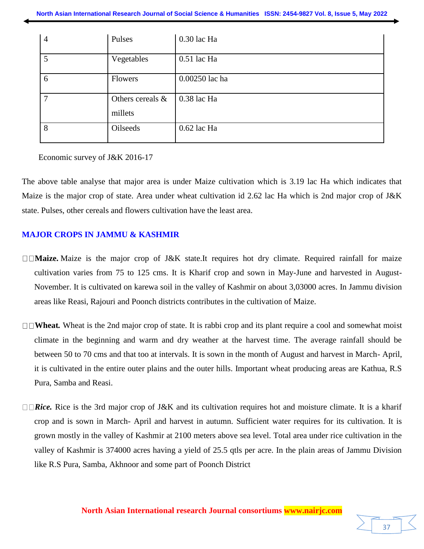| $\overline{4}$ | Pulses                         | 0.30 lac Ha    |
|----------------|--------------------------------|----------------|
| 5              | Vegetables                     | $0.51$ lac Ha  |
| 6              | <b>Flowers</b>                 | 0.00250 lac ha |
| 7              | Others cereals $\&$<br>millets | 0.38 lac Ha    |
| 8              | Oilseeds                       | $0.62$ lac Ha  |

Economic survey of J&K 2016-17

The above table analyse that major area is under Maize cultivation which is 3.19 lac Ha which indicates that Maize is the major crop of state. Area under wheat cultivation id 2.62 lac Ha which is 2nd major crop of J&K state. Pulses, other cereals and flowers cultivation have the least area.

## **MAJOR CROPS IN JAMMU & KASHMIR**

- **Maize.** Maize is the major crop of J&K state.It requires hot dry climate. Required rainfall for maize cultivation varies from 75 to 125 cms. It is Kharif crop and sown in May-June and harvested in August-November. It is cultivated on karewa soil in the valley of Kashmir on about 3,03000 acres. In Jammu division areas like Reasi, Rajouri and Poonch districts contributes in the cultivation of Maize.
- **Wheat***.* Wheat is the 2nd major crop of state. It is rabbi crop and its plant require a cool and somewhat moist climate in the beginning and warm and dry weather at the harvest time. The average rainfall should be between 50 to 70 cms and that too at intervals. It is sown in the month of August and harvest in March- April, it is cultivated in the entire outer plains and the outer hills. Important wheat producing areas are Kathua, R.S Pura, Samba and Reasi.
- *<u>Rice</u>*. Rice is the 3rd major crop of J&K and its cultivation requires hot and moisture climate. It is a kharif crop and is sown in March- April and harvest in autumn. Sufficient water requires for its cultivation. It is grown mostly in the valley of Kashmir at 2100 meters above sea level. Total area under rice cultivation in the valley of Kashmir is 374000 acres having a yield of 25.5 qtls per acre. In the plain areas of Jammu Division like R.S Pura, Samba, Akhnoor and some part of Poonch District

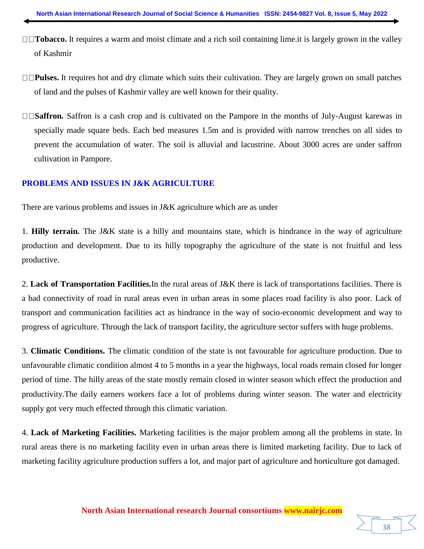- **Tobacco.** It requires a warm and moist climate and a rich soil containing lime. it is largely grown in the valley of Kashmir
- **Pulses.** It requires hot and dry climate which suits their cultivation. They are largely grown on small patches of land and the pulses of Kashmir valley are well known for their quality.
- □ Saffron. Saffron is a cash crop and is cultivated on the Pampore in the months of July-August karewas in specially made square beds. Each bed measures 1.5m and is provided with narrow trenches on all sides to prevent the accumulation of water. The soil is alluvial and lacustrine. About 3000 acres are under saffron cultivation in Pampore.

#### **PROBLEMS AND ISSUES IN J&K AGRICULTURE**

There are various problems and issues in J&K agriculture which are as under

1. **Hilly terrain***.* The J&K state is a hilly and mountains state, which is hindrance in the way of agriculture production and development. Due to its hilly topography the agriculture of the state is not fruitful and less productive.

2. **Lack of Transportation Facilitie***s.*In the rural areas of J&K there is lack of transportations facilities. There is a bad connectivity of road in rural areas even in urban areas in some places road facility is also poor. Lack of transport and communication facilities act as hindrance in the way of socio-economic development and way to progress of agriculture. Through the lack of transport facility, the agriculture sector suffers with huge problems.

3. **Climatic Conditions.** The climatic condition of the state is not favourable for agriculture production. Due to unfavourable climatic condition almost 4 to 5 months in a year the highways, local roads remain closed for longer period of time. The hilly areas of the state mostly remain closed in winter season which effect the production and productivity.The daily earners workers face a lot of problems during winter season. The water and electricity supply got very much effected through this climatic variation.

4. **Lack of Marketing Facilities.** Marketing facilities is the major problem among all the problems in state. In rural areas there is no marketing facility even in urban areas there is limited marketing facility. Due to lack of marketing facility agriculture production suffers a lot, and major part of agriculture and horticulture got damaged.

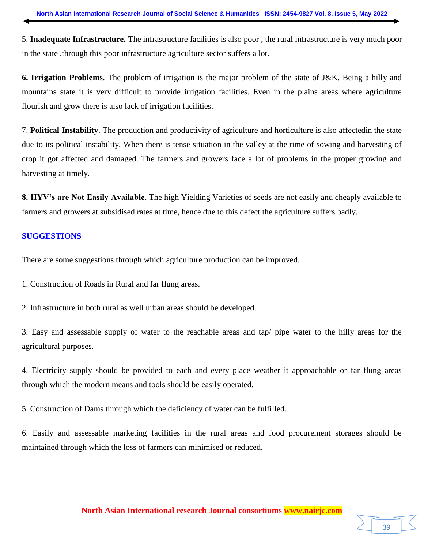5. **Inadequate Infrastructure.** The infrastructure facilities is also poor , the rural infrastructure is very much poor in the state ,through this poor infrastructure agriculture sector suffers a lot.

**6. Irrigation Problems**. The problem of irrigation is the major problem of the state of J&K. Being a hilly and mountains state it is very difficult to provide irrigation facilities. Even in the plains areas where agriculture flourish and grow there is also lack of irrigation facilities.

7. **Political Instability**. The production and productivity of agriculture and horticulture is also affectedin the state due to its political instability. When there is tense situation in the valley at the time of sowing and harvesting of crop it got affected and damaged. The farmers and growers face a lot of problems in the proper growing and harvesting at timely.

**8. HYV's are Not Easily Available**. The high Yielding Varieties of seeds are not easily and cheaply available to farmers and growers at subsidised rates at time, hence due to this defect the agriculture suffers badly.

#### **SUGGESTIONS**

There are some suggestions through which agriculture production can be improved.

1. Construction of Roads in Rural and far flung areas.

2. Infrastructure in both rural as well urban areas should be developed.

3. Easy and assessable supply of water to the reachable areas and tap/ pipe water to the hilly areas for the agricultural purposes.

4. Electricity supply should be provided to each and every place weather it approachable or far flung areas through which the modern means and tools should be easily operated.

5. Construction of Dams through which the deficiency of water can be fulfilled.

6. Easily and assessable marketing facilities in the rural areas and food procurement storages should be maintained through which the loss of farmers can minimised or reduced.